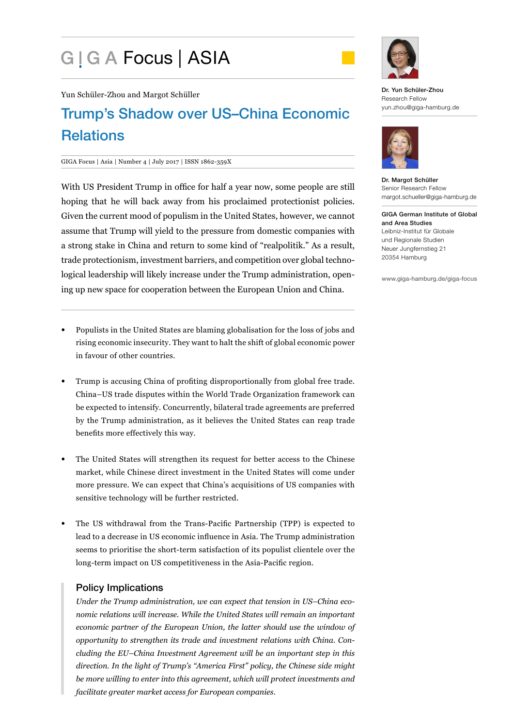# G | G A Focus | ASIA



Yun Schüler-Zhou and Margot Schüller

# Trump's Shadow over US–China Economic **Relations**

#### GIGA Focus | Asia | Number 4 | July 2017 | ISSN 1862-359X

With US President Trump in office for half a year now, some people are still hoping that he will back away from his proclaimed protectionist policies. Given the current mood of populism in the United States, however, we cannot assume that Trump will yield to the pressure from domestic companies with a strong stake in China and return to some kind of "realpolitik." As a result, trade protectionism, investment barriers, and competition over global technological leadership will likely increase under the Trump administration, opening up new space for cooperation between the European Union and China.

- Populists in the United States are blaming globalisation for the loss of jobs and rising economic insecurity. They want to halt the shift of global economic power in favour of other countries.
- Trump is accusing China of profiting disproportionally from global free trade. China–US trade disputes within the World Trade Organization framework can be expected to intensify. Concurrently, bilateral trade agreements are preferred by the Trump administration, as it believes the United States can reap trade benefits more effectively this way.
- The United States will strengthen its request for better access to the Chinese market, while Chinese direct investment in the United States will come under more pressure. We can expect that China's acquisitions of US companies with sensitive technology will be further restricted.
- The US withdrawal from the Trans-Pacific Partnership (TPP) is expected to lead to a decrease in US economic influence in Asia. The Trump administration seems to prioritise the short-term satisfaction of its populist clientele over the long-term impact on US competitiveness in the Asia-Pacific region.

# Policy Implications

*Under the Trump administration, we can expect that tension in US–China economic relations will increase. While the United States will remain an important economic partner of the European Union, the latter should use the window of opportunity to strengthen its trade and investment relations with China. Concluding the EU–China Investment Agreement will be an important step in this direction. In the light of Trump's "America First" policy, the Chinese side might be more willing to enter into this agreement, which will protect investments and facilitate greater market access for European companies.*

Dr. Yun Schüler-Zhou Research Fellow yun.zhou@giga-hamburg.de



Dr. Margot Schüller Senior Research Fellow margot.schueller@giga-hamburg.de

GIGA German Institute of Global and Area Studies Leibniz-Institut für Globale und Regionale Studien Neuer Jungfernstieg 21 20354 Hamburg

www.giga-hamburg.de/giga-focus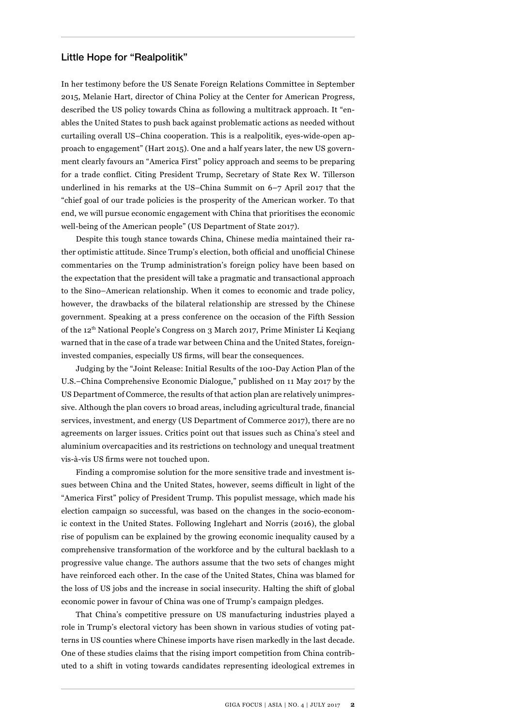### Little Hope for "Realpolitik"

In her testimony before the US Senate Foreign Relations Committee in September 2015, Melanie Hart, director of China Policy at the Center for American Progress, described the US policy towards China as following a multitrack approach. It "enables the United States to push back against problematic actions as needed without curtailing overall US–China cooperation. This is a realpolitik, eyes-wide-open approach to engagement" (Hart 2015). One and a half years later, the new US government clearly favours an "America First" policy approach and seems to be preparing for a trade conflict. Citing President Trump, Secretary of State Rex W. Tillerson underlined in his remarks at the US–China Summit on 6–7 April 2017 that the "chief goal of our trade policies is the prosperity of the American worker. To that end, we will pursue economic engagement with China that prioritises the economic well-being of the American people" (US Department of State 2017).

Despite this tough stance towards China, Chinese media maintained their rather optimistic attitude. Since Trump's election, both official and unofficial Chinese commentaries on the Trump administration's foreign policy have been based on the expectation that the president will take a pragmatic and transactional approach to the Sino–American relationship. When it comes to economic and trade policy, however, the drawbacks of the bilateral relationship are stressed by the Chinese government. Speaking at a press conference on the occasion of the Fifth Session of the 12th National People's Congress on 3 March 2017, Prime Minister Li Keqiang warned that in the case of a trade war between China and the United States, foreigninvested companies, especially US firms, will bear the consequences.

Judging by the "Joint Release: Initial Results of the 100-Day Action Plan of the U.S.–China Comprehensive Economic Dialogue," published on 11 May 2017 by the US Department of Commerce, the results of that action plan are relatively unimpressive. Although the plan covers 10 broad areas, including agricultural trade, financial services, investment, and energy (US Department of Commerce 2017), there are no agreements on larger issues. Critics point out that issues such as China's steel and aluminium overcapacities and its restrictions on technology and unequal treatment vis-à-vis US firms were not touched upon.

Finding a compromise solution for the more sensitive trade and investment issues between China and the United States, however, seems difficult in light of the "America First" policy of President Trump. This populist message, which made his election campaign so successful, was based on the changes in the socio-economic context in the United States. Following Inglehart and Norris (2016), the global rise of populism can be explained by the growing economic inequality caused by a comprehensive transformation of the workforce and by the cultural backlash to a progressive value change. The authors assume that the two sets of changes might have reinforced each other. In the case of the United States, China was blamed for the loss of US jobs and the increase in social insecurity. Halting the shift of global economic power in favour of China was one of Trump's campaign pledges.

That China's competitive pressure on US manufacturing industries played a role in Trump's electoral victory has been shown in various studies of voting patterns in US counties where Chinese imports have risen markedly in the last decade. One of these studies claims that the rising import competition from China contributed to a shift in voting towards candidates representing ideological extremes in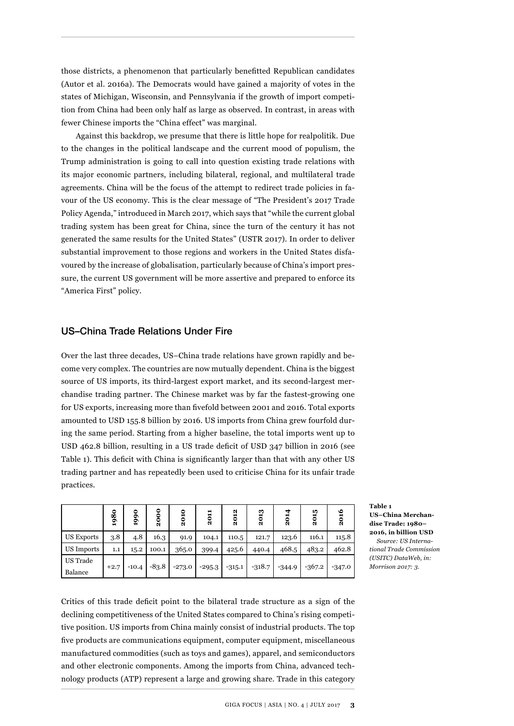those districts, a phenomenon that particularly benefitted Republican candidates (Autor et al. 2016a). The Democrats would have gained a majority of votes in the states of Michigan, Wisconsin, and Pennsylvania if the growth of import competition from China had been only half as large as observed. In contrast, in areas with fewer Chinese imports the "China effect" was marginal.

Against this backdrop, we presume that there is little hope for realpolitik. Due to the changes in the political landscape and the current mood of populism, the Trump administration is going to call into question existing trade relations with its major economic partners, including bilateral, regional, and multilateral trade agreements. China will be the focus of the attempt to redirect trade policies in favour of the US economy. This is the clear message of "The President's 2017 Trade Policy Agenda," introduced in March 2017, which says that "while the current global trading system has been great for China, since the turn of the century it has not generated the same results for the United States" (USTR 2017). In order to deliver substantial improvement to those regions and workers in the United States disfavoured by the increase of globalisation, particularly because of China's import pressure, the current US government will be more assertive and prepared to enforce its "America First" policy.

#### US–China Trade Relations Under Fire

Over the last three decades, US–China trade relations have grown rapidly and become very complex. The countries are now mutually dependent. China is the biggest source of US imports, its third-largest export market, and its second-largest merchandise trading partner. The Chinese market was by far the fastest-growing one for US exports, increasing more than fivefold between 2001 and 2016. Total exports amounted to USD 155.8 billion by 2016. US imports from China grew fourfold during the same period. Starting from a higher baseline, the total imports went up to USD 462.8 billion, resulting in a US trade deficit of USD 347 billion in 2016 (see Table 1). This deficit with China is significantly larger than that with any other US trading partner and has repeatedly been used to criticise China for its unfair trade practices.

|                     | $\bf{80}$<br>ğ | 1990    | 8<br>٥<br>Ñ | 2010     | 2011     | N<br>5<br>Ñ | m<br>201 | 2014     | 2015     | 2016     |
|---------------------|----------------|---------|-------------|----------|----------|-------------|----------|----------|----------|----------|
| <b>US Exports</b>   | 3.8            | 4.8     | 16.3        | 91.9     | 104.1    | 110.5       | 121.7    | 123.6    | 116.1    | 115.8    |
| US Imports          | 1.1            | 15.2    | 100.1       | 365.0    | 399.4    | 425.6       | 440.4    | 468.5    | 483.2    | 462.8    |
| US Trade<br>Balance | $+2.7$         | $-10.4$ | $-83.8$     | $-273.0$ | $-295.3$ | $-315.1$    | $-318.7$ | $-344.9$ | $-367.2$ | $-347.0$ |

**Table 1 US–China Merchandise Trade: 1980– 2016, in billion USD**  *Source: US International Trade Commission (USITC) DataWeb, in: Morrison 2017: 3.*

Critics of this trade deficit point to the bilateral trade structure as a sign of the declining competitiveness of the United States compared to China's rising competitive position. US imports from China mainly consist of industrial products. The top five products are communications equipment, computer equipment, miscellaneous manufactured commodities (such as toys and games), apparel, and semiconductors and other electronic components. Among the imports from China, advanced technology products (ATP) represent a large and growing share. Trade in this category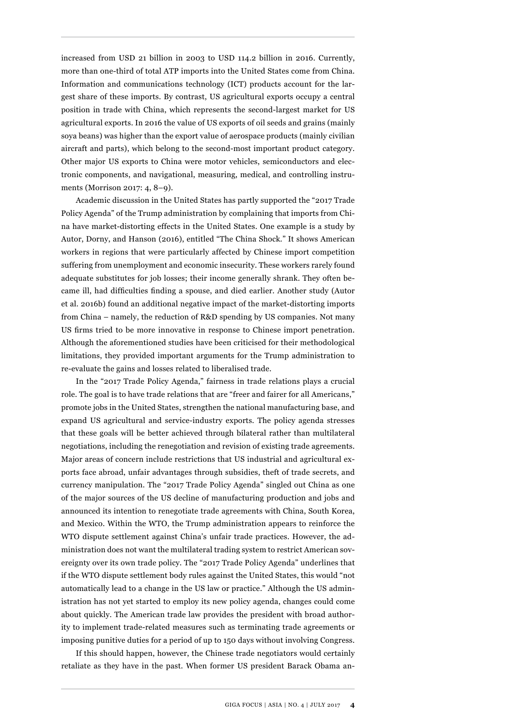increased from USD 21 billion in 2003 to USD 114.2 billion in 2016. Currently, more than one-third of total ATP imports into the United States come from China. Information and communications technology (ICT) products account for the largest share of these imports. By contrast, US agricultural exports occupy a central position in trade with China, which represents the second-largest market for US agricultural exports. In 2016 the value of US exports of oil seeds and grains (mainly soya beans) was higher than the export value of aerospace products (mainly civilian aircraft and parts), which belong to the second-most important product category. Other major US exports to China were motor vehicles, semiconductors and electronic components, and navigational, measuring, medical, and controlling instruments (Morrison 2017: 4, 8–9).

Academic discussion in the United States has partly supported the "2017 Trade Policy Agenda" of the Trump administration by complaining that imports from China have market-distorting effects in the United States. One example is a study by Autor, Dorny, and Hanson (2016), entitled "The China Shock." It shows American workers in regions that were particularly affected by Chinese import competition suffering from unemployment and economic insecurity. These workers rarely found adequate substitutes for job losses; their income generally shrank. They often became ill, had difficulties finding a spouse, and died earlier. Another study (Autor et al. 2016b) found an additional negative impact of the market-distorting imports from China – namely, the reduction of R&D spending by US companies. Not many US firms tried to be more innovative in response to Chinese import penetration. Although the aforementioned studies have been criticised for their methodological limitations, they provided important arguments for the Trump administration to re-evaluate the gains and losses related to liberalised trade.

In the "2017 Trade Policy Agenda," fairness in trade relations plays a crucial role. The goal is to have trade relations that are "freer and fairer for all Americans," promote jobs in the United States, strengthen the national manufacturing base, and expand US agricultural and service-industry exports. The policy agenda stresses that these goals will be better achieved through bilateral rather than multilateral negotiations, including the renegotiation and revision of existing trade agreements. Major areas of concern include restrictions that US industrial and agricultural exports face abroad, unfair advantages through subsidies, theft of trade secrets, and currency manipulation. The "2017 Trade Policy Agenda" singled out China as one of the major sources of the US decline of manufacturing production and jobs and announced its intention to renegotiate trade agreements with China, South Korea, and Mexico. Within the WTO, the Trump administration appears to reinforce the WTO dispute settlement against China's unfair trade practices. However, the administration does not want the multilateral trading system to restrict American sovereignty over its own trade policy. The "2017 Trade Policy Agenda" underlines that if the WTO dispute settlement body rules against the United States, this would "not automatically lead to a change in the US law or practice." Although the US administration has not yet started to employ its new policy agenda, changes could come about quickly. The American trade law provides the president with broad authority to implement trade-related measures such as terminating trade agreements or imposing punitive duties for a period of up to 150 days without involving Congress.

If this should happen, however, the Chinese trade negotiators would certainly retaliate as they have in the past. When former US president Barack Obama an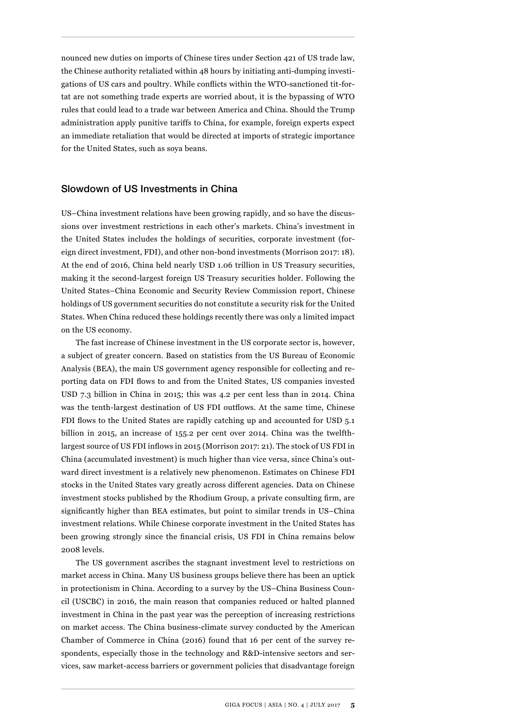nounced new duties on imports of Chinese tires under Section 421 of US trade law, the Chinese authority retaliated within 48 hours by initiating anti-dumping investigations of US cars and poultry. While conflicts within the WTO-sanctioned tit-fortat are not something trade experts are worried about, it is the bypassing of WTO rules that could lead to a trade war between America and China. Should the Trump administration apply punitive tariffs to China, for example, foreign experts expect an immediate retaliation that would be directed at imports of strategic importance for the United States, such as soya beans.

#### Slowdown of US Investments in China

US–China investment relations have been growing rapidly, and so have the discussions over investment restrictions in each other's markets. China's investment in the United States includes the holdings of securities, corporate investment (foreign direct investment, FDI), and other non-bond investments (Morrison 2017: 18). At the end of 2016, China held nearly USD 1.06 trillion in US Treasury securities, making it the second-largest foreign US Treasury securities holder. Following the United States–China Economic and Security Review Commission report, Chinese holdings of US government securities do not constitute a security risk for the United States. When China reduced these holdings recently there was only a limited impact on the US economy.

The fast increase of Chinese investment in the US corporate sector is, however, a subject of greater concern. Based on statistics from the US Bureau of Economic Analysis (BEA), the main US government agency responsible for collecting and reporting data on FDI flows to and from the United States, US companies invested USD 7.3 billion in China in 2015; this was 4.2 per cent less than in 2014. China was the tenth-largest destination of US FDI outflows. At the same time, Chinese FDI flows to the United States are rapidly catching up and accounted for USD 5.1 billion in 2015, an increase of 155.2 per cent over 2014. China was the twelfthlargest source of US FDI inflows in 2015 (Morrison 2017: 21). The stock of US FDI in China (accumulated investment) is much higher than vice versa, since China's outward direct investment is a relatively new phenomenon. Estimates on Chinese FDI stocks in the United States vary greatly across different agencies. Data on Chinese investment stocks published by the Rhodium Group, a private consulting firm, are significantly higher than BEA estimates, but point to similar trends in US–China investment relations. While Chinese corporate investment in the United States has been growing strongly since the financial crisis, US FDI in China remains below 2008 levels.

The US government ascribes the stagnant investment level to restrictions on market access in China. Many US business groups believe there has been an uptick in protectionism in China. According to a survey by the US–China Business Council (USCBC) in 2016, the main reason that companies reduced or halted planned investment in China in the past year was the perception of increasing restrictions on market access. The China business-climate survey conducted by the American Chamber of Commerce in China (2016) found that 16 per cent of the survey respondents, especially those in the technology and R&D-intensive sectors and services, saw market-access barriers or government policies that disadvantage foreign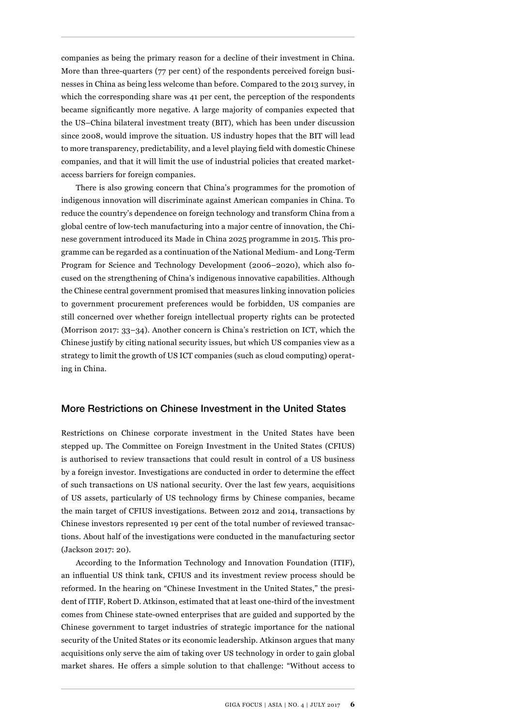companies as being the primary reason for a decline of their investment in China. More than three-quarters (77 per cent) of the respondents perceived foreign businesses in China as being less welcome than before. Compared to the 2013 survey, in which the corresponding share was 41 per cent, the perception of the respondents became significantly more negative. A large majority of companies expected that the US–China bilateral investment treaty (BIT), which has been under discussion since 2008, would improve the situation. US industry hopes that the BIT will lead to more transparency, predictability, and a level playing field with domestic Chinese companies, and that it will limit the use of industrial policies that created marketaccess barriers for foreign companies.

There is also growing concern that China's programmes for the promotion of indigenous innovation will discriminate against American companies in China. To reduce the country's dependence on foreign technology and transform China from a global centre of low-tech manufacturing into a major centre of innovation, the Chinese government introduced its Made in China 2025 programme in 2015. This programme can be regarded as a continuation of the National Medium- and Long-Term Program for Science and Technology Development (2006–2020), which also focused on the strengthening of China's indigenous innovative capabilities. Although the Chinese central government promised that measures linking innovation policies to government procurement preferences would be forbidden, US companies are still concerned over whether foreign intellectual property rights can be protected (Morrison 2017: 33–34). Another concern is China's restriction on ICT, which the Chinese justify by citing national security issues, but which US companies view as a strategy to limit the growth of US ICT companies (such as cloud computing) operating in China.

#### More Restrictions on Chinese Investment in the United States

Restrictions on Chinese corporate investment in the United States have been stepped up. The Committee on Foreign Investment in the United States (CFIUS) is authorised to review transactions that could result in control of a US business by a foreign investor. Investigations are conducted in order to determine the effect of such transactions on US national security. Over the last few years, acquisitions of US assets, particularly of US technology firms by Chinese companies, became the main target of CFIUS investigations. Between 2012 and 2014, transactions by Chinese investors represented 19 per cent of the total number of reviewed transactions. About half of the investigations were conducted in the manufacturing sector (Jackson 2017: 20).

According to the Information Technology and Innovation Foundation (ITIF), an influential US think tank, CFIUS and its investment review process should be reformed. In the hearing on "Chinese Investment in the United States," the president of ITIF, Robert D. Atkinson, estimated that at least one-third of the investment comes from Chinese state-owned enterprises that are guided and supported by the Chinese government to target industries of strategic importance for the national security of the United States or its economic leadership. Atkinson argues that many acquisitions only serve the aim of taking over US technology in order to gain global market shares. He offers a simple solution to that challenge: "Without access to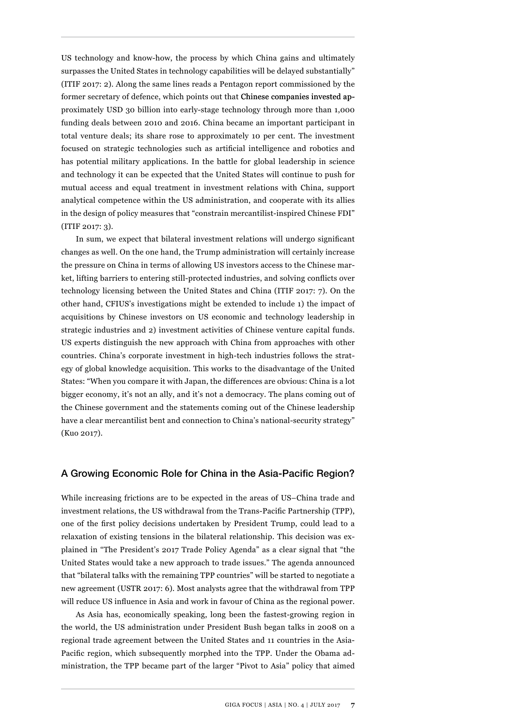US technology and know-how, the process by which China gains and ultimately surpasses the United States in technology capabilities will be delayed substantially" (ITIF 2017: 2). Along the same lines reads a Pentagon report commissioned by the former secretary of defence, which points out that Chinese companies invested approximately USD 30 billion into early-stage technology through more than 1,000 funding deals between 2010 and 2016. China became an important participant in total venture deals; its share rose to approximately 10 per cent. The investment focused on strategic technologies such as artificial intelligence and robotics and has potential military applications. In the battle for global leadership in science and technology it can be expected that the United States will continue to push for mutual access and equal treatment in investment relations with China, support analytical competence within the US administration, and cooperate with its allies in the design of policy measures that "constrain mercantilist-inspired Chinese FDI" (ITIF 2017: 3).

In sum, we expect that bilateral investment relations will undergo significant changes as well. On the one hand, the Trump administration will certainly increase the pressure on China in terms of allowing US investors access to the Chinese market, lifting barriers to entering still-protected industries, and solving conflicts over technology licensing between the United States and China (ITIF 2017: 7). On the other hand, CFIUS's investigations might be extended to include 1) the impact of acquisitions by Chinese investors on US economic and technology leadership in strategic industries and 2) investment activities of Chinese venture capital funds. US experts distinguish the new approach with China from approaches with other countries. China's corporate investment in high-tech industries follows the strategy of global knowledge acquisition. This works to the disadvantage of the United States: "When you compare it with Japan, the differences are obvious: China is a lot bigger economy, it's not an ally, and it's not a democracy. The plans coming out of the Chinese government and the statements coming out of the Chinese leadership have a clear mercantilist bent and connection to China's national-security strategy" (Kuo 2017).

#### A Growing Economic Role for China in the Asia-Pacific Region?

While increasing frictions are to be expected in the areas of US–China trade and investment relations, the US withdrawal from the Trans-Pacific Partnership (TPP), one of the first policy decisions undertaken by President Trump, could lead to a relaxation of existing tensions in the bilateral relationship. This decision was explained in "The President's 2017 Trade Policy Agenda" as a clear signal that "the United States would take a new approach to trade issues." The agenda announced that "bilateral talks with the remaining TPP countries" will be started to negotiate a new agreement (USTR 2017: 6). Most analysts agree that the withdrawal from TPP will reduce US influence in Asia and work in favour of China as the regional power.

As Asia has, economically speaking, long been the fastest-growing region in the world, the US administration under President Bush began talks in 2008 on a regional trade agreement between the United States and 11 countries in the Asia-Pacific region, which subsequently morphed into the TPP. Under the Obama administration, the TPP became part of the larger "Pivot to Asia" policy that aimed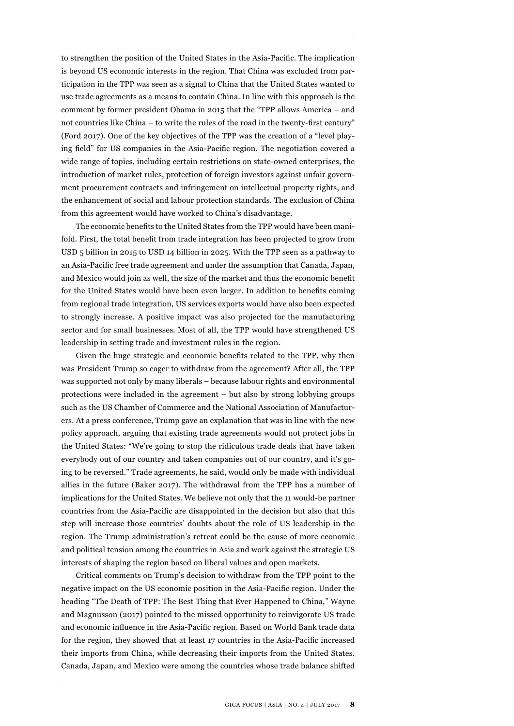to strengthen the position of the United States in the Asia-Pacific. The implication is beyond US economic interests in the region. That China was excluded from participation in the TPP was seen as a signal to China that the United States wanted to use trade agreements as a means to contain China. In line with this approach is the comment by former president Obama in 2015 that the "TPP allows America – and not countries like China – to write the rules of the road in the twenty-first century" (Ford 2017). One of the key objectives of the TPP was the creation of a "level playing field" for US companies in the Asia-Pacific region. The negotiation covered a wide range of topics, including certain restrictions on state-owned enterprises, the introduction of market rules, protection of foreign investors against unfair government procurement contracts and infringement on intellectual property rights, and the enhancement of social and labour protection standards. The exclusion of China from this agreement would have worked to China's disadvantage.

The economic benefits to the United States from the TPP would have been manifold. First, the total benefit from trade integration has been projected to grow from USD 5 billion in 2015 to USD 14 billion in 2025. With the TPP seen as a pathway to an Asia-Pacific free trade agreement and under the assumption that Canada, Japan, and Mexico would join as well, the size of the market and thus the economic benefit for the United States would have been even larger. In addition to benefits coming from regional trade integration, US services exports would have also been expected to strongly increase. A positive impact was also projected for the manufacturing sector and for small businesses. Most of all, the TPP would have strengthened US leadership in setting trade and investment rules in the region.

Given the huge strategic and economic benefits related to the TPP, why then was President Trump so eager to withdraw from the agreement? After all, the TPP was supported not only by many liberals – because labour rights and environmental protections were included in the agreement – but also by strong lobbying groups such as the US Chamber of Commerce and the National Association of Manufacturers. At a press conference, Trump gave an explanation that was in line with the new policy approach, arguing that existing trade agreements would not protect jobs in the United States: "We're going to stop the ridiculous trade deals that have taken everybody out of our country and taken companies out of our country, and it's going to be reversed." Trade agreements, he said, would only be made with individual allies in the future (Baker 2017). The withdrawal from the TPP has a number of implications for the United States. We believe not only that the 11 would-be partner countries from the Asia-Pacific are disappointed in the decision but also that this step will increase those countries' doubts about the role of US leadership in the region. The Trump administration's retreat could be the cause of more economic and political tension among the countries in Asia and work against the strategic US interests of shaping the region based on liberal values and open markets.

Critical comments on Trump's decision to withdraw from the TPP point to the negative impact on the US economic position in the Asia-Pacific region. Under the heading "The Death of TPP: The Best Thing that Ever Happened to China," Wayne and Magnusson (2017) pointed to the missed opportunity to reinvigorate US trade and economic influence in the Asia-Pacific region. Based on World Bank trade data for the region, they showed that at least 17 countries in the Asia-Pacific increased their imports from China, while decreasing their imports from the United States. Canada, Japan, and Mexico were among the countries whose trade balance shifted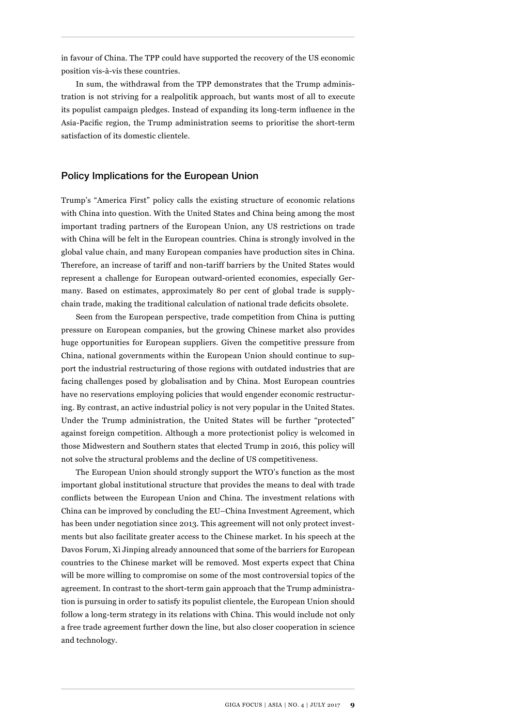in favour of China. The TPP could have supported the recovery of the US economic position vis-à-vis these countries.

In sum, the withdrawal from the TPP demonstrates that the Trump administration is not striving for a realpolitik approach, but wants most of all to execute its populist campaign pledges. Instead of expanding its long-term influence in the Asia-Pacific region, the Trump administration seems to prioritise the short-term satisfaction of its domestic clientele.

#### Policy Implications for the European Union

Trump's "America First" policy calls the existing structure of economic relations with China into question. With the United States and China being among the most important trading partners of the European Union, any US restrictions on trade with China will be felt in the European countries. China is strongly involved in the global value chain, and many European companies have production sites in China. Therefore, an increase of tariff and non-tariff barriers by the United States would represent a challenge for European outward-oriented economies, especially Germany. Based on estimates, approximately 80 per cent of global trade is supplychain trade, making the traditional calculation of national trade deficits obsolete.

Seen from the European perspective, trade competition from China is putting pressure on European companies, but the growing Chinese market also provides huge opportunities for European suppliers. Given the competitive pressure from China, national governments within the European Union should continue to support the industrial restructuring of those regions with outdated industries that are facing challenges posed by globalisation and by China. Most European countries have no reservations employing policies that would engender economic restructuring. By contrast, an active industrial policy is not very popular in the United States. Under the Trump administration, the United States will be further "protected" against foreign competition. Although a more protectionist policy is welcomed in those Midwestern and Southern states that elected Trump in 2016, this policy will not solve the structural problems and the decline of US competitiveness.

The European Union should strongly support the WTO's function as the most important global institutional structure that provides the means to deal with trade conflicts between the European Union and China. The investment relations with China can be improved by concluding the EU–China Investment Agreement, which has been under negotiation since 2013. This agreement will not only protect investments but also facilitate greater access to the Chinese market. In his speech at the Davos Forum, Xi Jinping already announced that some of the barriers for European countries to the Chinese market will be removed. Most experts expect that China will be more willing to compromise on some of the most controversial topics of the agreement. In contrast to the short-term gain approach that the Trump administration is pursuing in order to satisfy its populist clientele, the European Union should follow a long-term strategy in its relations with China. This would include not only a free trade agreement further down the line, but also closer cooperation in science and technology.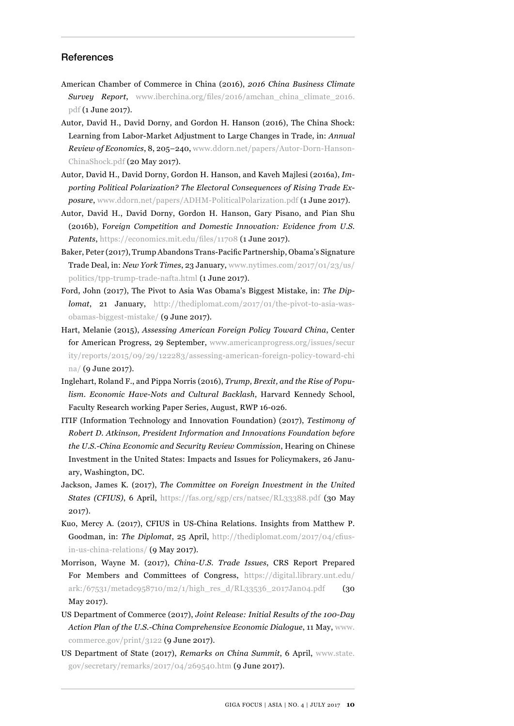#### References

- American Chamber of Commerce in China (2016), *2016 China Business Climate Survey Report*, [www.iberchina.org/files/2016/amchan\\_china\\_climate\\_2016.](http://www.iberchina.org/files/2016/amchan_china_climate_2016.pdf) [pdf](http://www.iberchina.org/files/2016/amchan_china_climate_2016.pdf) (1 June 2017).
- Autor, David H., David Dorny, and Gordon H. Hanson (2016), The China Shock: Learning from Labor-Market Adjustment to Large Changes in Trade, in: *Annual Review of Economics*, 8, 205–240, [www.ddorn.net/papers/Autor-Dorn-Hanson-](http://www.ddorn.net/papers/Autor-Dorn-Hanson-ChinaShock.pdf)[ChinaShock.pdf](http://www.ddorn.net/papers/Autor-Dorn-Hanson-ChinaShock.pdf) (20 May 2017).
- Autor, David H., David Dorny, Gordon H. Hanson, and Kaveh Majlesi (2016a), *Importing Political Polarization? The Electoral Consequences of Rising Trade Exposure*, [www.ddorn.net/papers/ADHM-PoliticalPolarization.pdf](http://www.ddorn.net/papers/ADHM-PoliticalPolarization.pdf) (1 June 2017).
- Autor, David H., David Dorny, Gordon H. Hanson, Gary Pisano, and Pian Shu (2016b), F*oreign Competition and Domestic Innovation: Evidence from U.S. Patents*, <https://economics.mit.edu/files/11708>(1 June 2017).
- Baker, Peter (2017), Trump Abandons Trans-Pacific Partnership, Obama's Signature Trade Deal, in: *New York Times*, 23 January, [www.nytimes.com/2017/01/23/us/](http://www.nytimes.com/2017/01/23/us/politics/tpp-trump-trade-nafta.html) [politics/tpp-trump-trade-nafta.html](http://www.nytimes.com/2017/01/23/us/politics/tpp-trump-trade-nafta.html) (1 June 2017).
- Ford, John (2017), The Pivot to Asia Was Obama's Biggest Mistake, in: *The Diplomat*, 21 January, [http://thediplomat.com/2017/01/the-pivot-to-asia-was](http://thediplomat.com/2017/01/the-pivot-to-asia-was-obamas-biggest-mistake/)[obamas-biggest-mistake/](http://thediplomat.com/2017/01/the-pivot-to-asia-was-obamas-biggest-mistake/) (9 June 2017).
- Hart, Melanie (2015), *Assessing American Foreign Policy Toward China*, Center for American Progress, 29 September, [www.americanprogress.org/issues/secur](http://www.americanprogress.org/issues/security/reports/2015/09/29/122283/assessing-american-foreign-policy-toward-china/) [ity/reports/2015/09/29/122283/assessing-american-foreign-policy-toward-chi](http://www.americanprogress.org/issues/security/reports/2015/09/29/122283/assessing-american-foreign-policy-toward-china/)  [na/](http://www.americanprogress.org/issues/security/reports/2015/09/29/122283/assessing-american-foreign-policy-toward-china/) (9 June 2017).
- Inglehart, Roland F., and Pippa Norris (2016), *Trump, Brexit, and the Rise of Populism. Economic Have-Nots and Cultural Backlash*, Harvard Kennedy School, Faculty Research working Paper Series, August, RWP 16-026.
- ITIF (Information Technology and Innovation Foundation) (2017), *Testimony of Robert D. Atkinson, President Information and Innovations Foundation before the U.S.-China Economic and Security Review Commission*, Hearing on Chinese Investment in the United States: Impacts and Issues for Policymakers, 26 January, Washington, DC.
- Jackson, James K. (2017), *The Committee on Foreign Investment in the United States (CFIUS)*, 6 April, <https://fas.org/sgp/crs/natsec/RL33388.pdf> (30 May 2017).
- Kuo, Mercy A. (2017), CFIUS in US-China Relations. Insights from Matthew P. Goodman, in: *The Diplomat*, 25 April, [http://thediplomat.com/2017/04/cfius](http://thediplomat.com/2017/04/cfius-in-us-china-relations/)[in-us-china-relations/](http://thediplomat.com/2017/04/cfius-in-us-china-relations/) (9 May 2017).
- Morrison, Wayne M. (2017), *China-U.S. Trade Issues*, CRS Report Prepared For Members and Committees of Congress, [https://digital.library.unt.edu/](https://digital.library.unt.edu/ark:/67531/metadc958710/m2/1/high_res_d/RL33536_2017Jan04.pdf) [ark:/67531/metadc958710/m2/1/high\\_res\\_d/RL33536\\_2017Jan04.pdf](https://digital.library.unt.edu/ark:/67531/metadc958710/m2/1/high_res_d/RL33536_2017Jan04.pdf) (30 May 2017).
- US Department of Commerce (2017), *Joint Release: Initial Results of the 100-Day Action Plan of the U.S.-China Comprehensive Economic Dialogue*, 11 May, [www.](http://www.commerce.gov/print/3122) [commerce.gov/print/3122](http://www.commerce.gov/print/3122) (9 June 2017).
- US Department of State (2017), *Remarks on China Summit*, 6 April, [www.state.](http://www.state.gov/secretary/remarks/2017/04/269540.htm) [gov/secretary/remarks/2017/04/269540.htm](http://www.state.gov/secretary/remarks/2017/04/269540.htm) (9 June 2017).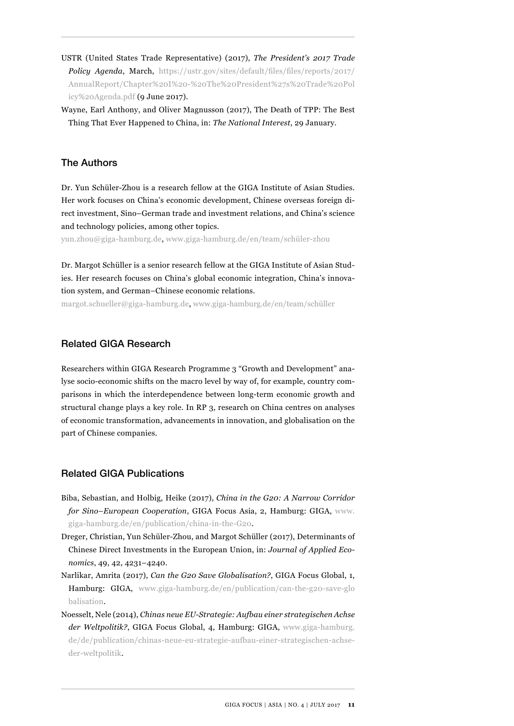- USTR (United States Trade Representative) (2017), *The President's 2017 Trade Policy Agenda*, March, [https://ustr.gov/sites/default/files/files/reports/2017/](https://ustr.gov/sites/default/files/files/reports/2017/AnnualReport/Chapter%20I%20-%20The%20President%27s%20Trade%20Policy%20Agenda.pdf) [AnnualReport/Chapter%20I%20-%20The%20President%27s%20Trade%20Pol](https://ustr.gov/sites/default/files/files/reports/2017/AnnualReport/Chapter%20I%20-%20The%20President%27s%20Trade%20Policy%20Agenda.pdf)  [icy%20Agenda.pdf](https://ustr.gov/sites/default/files/files/reports/2017/AnnualReport/Chapter%20I%20-%20The%20President%27s%20Trade%20Policy%20Agenda.pdf) (9 June 2017).
- Wayne, Earl Anthony, and Oliver Magnusson (2017), The Death of TPP: The Best Thing That Ever Happened to China, in: *The National Interest*, 29 January.

# The Authors

Dr. Yun Schüler-Zhou is a research fellow at the GIGA Institute of Asian Studies. Her work focuses on China's economic development, Chinese overseas foreign direct investment, Sino–German trade and investment relations, and China's science and technology policies, among other topics.

yun.zhou@giga-hamburg.de, www.giga-hamburg.de/en/team/schüler-zhou

Dr. Margot Schüller is a senior research fellow at the GIGA Institute of Asian Studies. Her research focuses on China's global economic integration, China's innovation system, and German–Chinese economic relations.

margot.schueller@giga-hamburg.de, www.giga-hamburg.de/en/team/schüller

# Related GIGA Research

Researchers within GIGA Research Programme 3 "Growth and Development" analyse socio-economic shifts on the macro level by way of, for example, country comparisons in which the interdependence between long-term economic growth and structural change plays a key role. In RP 3, research on China centres on analyses of economic transformation, advancements in innovation, and globalisation on the part of Chinese companies.

# Related GIGA Publications

- Biba, Sebastian, and Holbig, Heike (2017), *China in the G20: A Narrow Corridor for Sino–European Cooperation*, GIGA Focus Asia, 2, Hamburg: GIGA, [www.](http://www.giga-hamburg.de/en/publication/china-in-the-G20) [giga-hamburg.de/en/publication/china-in-the-G20](http://www.giga-hamburg.de/en/publication/china-in-the-G20).
- Dreger, Christian, Yun Schüler-Zhou, and Margot Schüller (2017), Determinants of Chinese Direct Investments in the European Union, in: *Journal of Applied Economics*, 49, 42, 4231–4240.
- Narlikar, Amrita (2017), *Can the G20 Save Globalisation?*, GIGA Focus Global, 1, Hamburg: GIGA, [www.giga-hamburg.de/en/publication/can-the-g20-save-glo](http://www.giga-hamburg.de/en/publication/can-the-g20-save-globalisation) [balisation](http://www.giga-hamburg.de/en/publication/can-the-g20-save-globalisation).
- Noesselt, Nele (2014), *Chinas neue EU-Strategie: Aufbau einer strategischen Achse der Weltpolitik?*, GIGA Focus Global, 4, Hamburg: GIGA, [www.giga-hamburg.](http://www.giga-hamburg.de/de/publication/chinas-neue-eu-strategie-aufbau-einer-strategischen-achse-der-weltpolitik) [de/de/publication/chinas-neue-eu-strategie-aufbau-einer-strategischen-achse](http://www.giga-hamburg.de/de/publication/chinas-neue-eu-strategie-aufbau-einer-strategischen-achse-der-weltpolitik)[der-weltpolitik.](http://www.giga-hamburg.de/de/publication/chinas-neue-eu-strategie-aufbau-einer-strategischen-achse-der-weltpolitik)